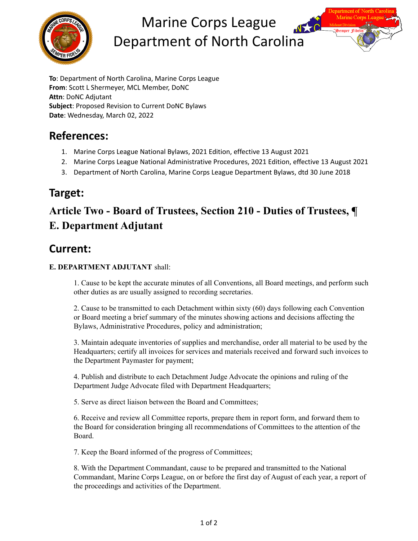

# Marine Corps League Department of North Carolina



# **References:**

- 1. Marine Corps League National Bylaws, 2021 Edition, effective 13 August 2021
- 2. Marine Corps League National Administrative Procedures, 2021 Edition, effective 13 August 2021
- 3. Department of North Carolina, Marine Corps League Department Bylaws, dtd 30 June 2018

#### **Target:**

# **Article Two - Board of Trustees, Section 210 - Duties of Trustees, ¶ E. Department Adjutant**

# **Current:**

#### **E. DEPARTMENT ADJUTANT** shall:

1. Cause to be kept the accurate minutes of all Conventions, all Board meetings, and perform such other duties as are usually assigned to recording secretaries.

2. Cause to be transmitted to each Detachment within sixty (60) days following each Convention or Board meeting a brief summary of the minutes showing actions and decisions affecting the Bylaws, Administrative Procedures, policy and administration;

3. Maintain adequate inventories of supplies and merchandise, order all material to be used by the Headquarters; certify all invoices for services and materials received and forward such invoices to the Department Paymaster for payment;

4. Publish and distribute to each Detachment Judge Advocate the opinions and ruling of the Department Judge Advocate filed with Department Headquarters;

5. Serve as direct liaison between the Board and Committees;

6. Receive and review all Committee reports, prepare them in report form, and forward them to the Board for consideration bringing all recommendations of Committees to the attention of the Board.

7. Keep the Board informed of the progress of Committees;

8. With the Department Commandant, cause to be prepared and transmitted to the National Commandant, Marine Corps League, on or before the first day of August of each year, a report of the proceedings and activities of the Department.